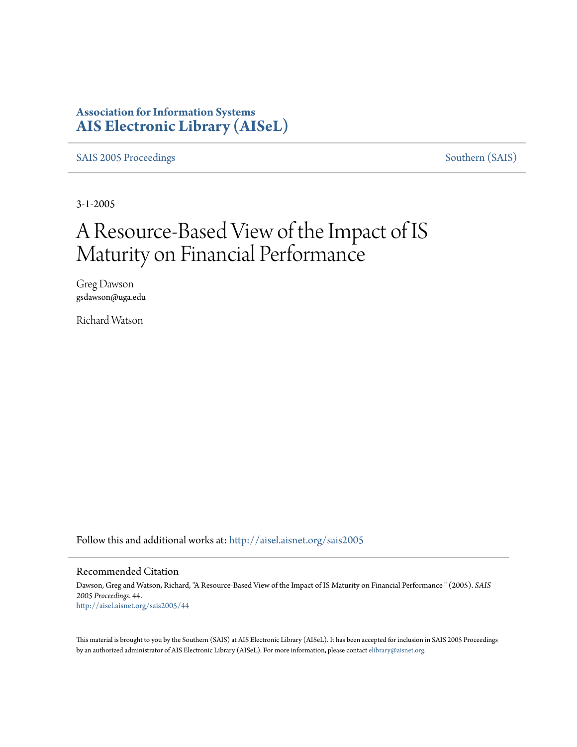## **Association for Information Systems [AIS Electronic Library \(AISeL\)](http://aisel.aisnet.org?utm_source=aisel.aisnet.org%2Fsais2005%2F44&utm_medium=PDF&utm_campaign=PDFCoverPages)**

[SAIS 2005 Proceedings](http://aisel.aisnet.org/sais2005?utm_source=aisel.aisnet.org%2Fsais2005%2F44&utm_medium=PDF&utm_campaign=PDFCoverPages) [Southern \(SAIS\)](http://aisel.aisnet.org/sais?utm_source=aisel.aisnet.org%2Fsais2005%2F44&utm_medium=PDF&utm_campaign=PDFCoverPages)

3-1-2005

# A Resource-Based View of the Impact of IS Maturity on Financial Performance

Greg Dawson gsdawson@uga.edu

Richard Watson

Follow this and additional works at: [http://aisel.aisnet.org/sais2005](http://aisel.aisnet.org/sais2005?utm_source=aisel.aisnet.org%2Fsais2005%2F44&utm_medium=PDF&utm_campaign=PDFCoverPages)

#### Recommended Citation

Dawson, Greg and Watson, Richard, "A Resource-Based View of the Impact of IS Maturity on Financial Performance " (2005). *SAIS 2005 Proceedings*. 44. [http://aisel.aisnet.org/sais2005/44](http://aisel.aisnet.org/sais2005/44?utm_source=aisel.aisnet.org%2Fsais2005%2F44&utm_medium=PDF&utm_campaign=PDFCoverPages)

This material is brought to you by the Southern (SAIS) at AIS Electronic Library (AISeL). It has been accepted for inclusion in SAIS 2005 Proceedings by an authorized administrator of AIS Electronic Library (AISeL). For more information, please contact [elibrary@aisnet.org](mailto:elibrary@aisnet.org%3E).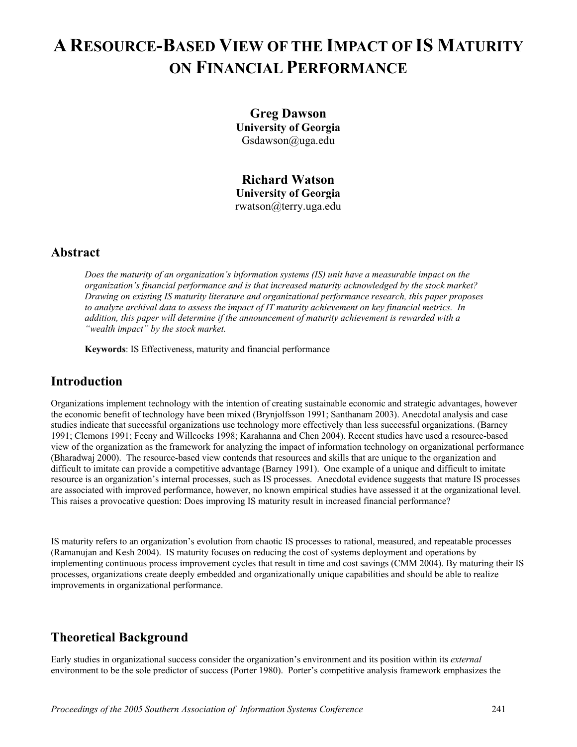## **A RESOURCE-BASED VIEW OF THE IMPACT OF IS MATURITY ON FINANCIAL PERFORMANCE**

**Greg Dawson University of Georgia**  Gsdawson@uga.edu

**Richard Watson University of Georgia**  rwatson@terry.uga.edu

## **Abstract**

*Does the maturity of an organization's information systems (IS) unit have a measurable impact on the organization's financial performance and is that increased maturity acknowledged by the stock market? Drawing on existing IS maturity literature and organizational performance research, this paper proposes to analyze archival data to assess the impact of IT maturity achievement on key financial metrics. In addition, this paper will determine if the announcement of maturity achievement is rewarded with a "wealth impact" by the stock market.* 

**Keywords**: IS Effectiveness, maturity and financial performance

## **Introduction**

Organizations implement technology with the intention of creating sustainable economic and strategic advantages, however the economic benefit of technology have been mixed (Brynjolfsson 1991; Santhanam 2003). Anecdotal analysis and case studies indicate that successful organizations use technology more effectively than less successful organizations. (Barney 1991; Clemons 1991; Feeny and Willcocks 1998; Karahanna and Chen 2004). Recent studies have used a resource-based view of the organization as the framework for analyzing the impact of information technology on organizational performance (Bharadwaj 2000). The resource-based view contends that resources and skills that are unique to the organization and difficult to imitate can provide a competitive advantage (Barney 1991). One example of a unique and difficult to imitate resource is an organization's internal processes, such as IS processes. Anecdotal evidence suggests that mature IS processes are associated with improved performance, however, no known empirical studies have assessed it at the organizational level. This raises a provocative question: Does improving IS maturity result in increased financial performance?

IS maturity refers to an organization's evolution from chaotic IS processes to rational, measured, and repeatable processes (Ramanujan and Kesh 2004). IS maturity focuses on reducing the cost of systems deployment and operations by implementing continuous process improvement cycles that result in time and cost savings (CMM 2004). By maturing their IS processes, organizations create deeply embedded and organizationally unique capabilities and should be able to realize improvements in organizational performance.

## **Theoretical Background**

Early studies in organizational success consider the organization's environment and its position within its *external* environment to be the sole predictor of success (Porter 1980). Porter's competitive analysis framework emphasizes the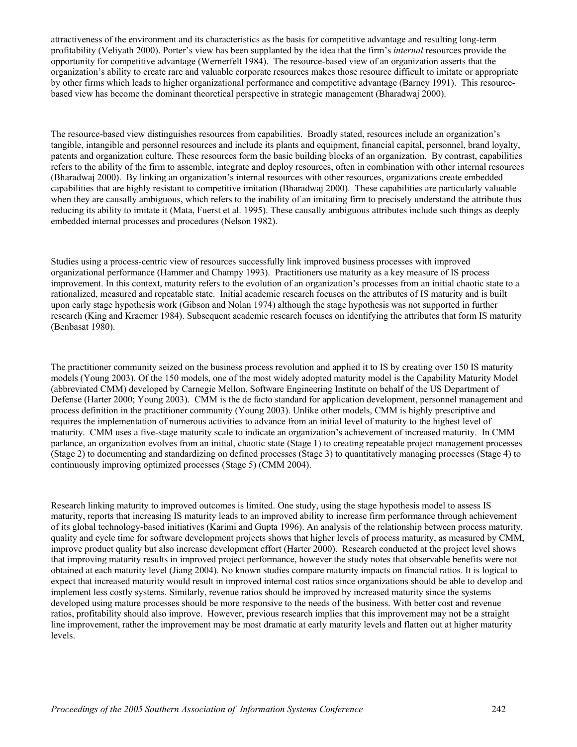attractiveness of the environment and its characteristics as the basis for competitive advantage and resulting long-term profitability (Veliyath 2000). Porter's view has been supplanted by the idea that the firm's *internal* resources provide the opportunity for competitive advantage (Wernerfelt 1984). The resource-based view of an organization asserts that the organization's ability to create rare and valuable corporate resources makes those resource difficult to imitate or appropriate by other firms which leads to higher organizational performance and competitive advantage (Barney 1991). This resourcebased view has become the dominant theoretical perspective in strategic management (Bharadwaj 2000).

The resource-based view distinguishes resources from capabilities. Broadly stated, resources include an organization's tangible, intangible and personnel resources and include its plants and equipment, financial capital, personnel, brand loyalty, patents and organization culture. These resources form the basic building blocks of an organization. By contrast, capabilities refers to the ability of the firm to assemble, integrate and deploy resources, often in combination with other internal resources (Bharadwaj 2000). By linking an organization's internal resources with other resources, organizations create embedded capabilities that are highly resistant to competitive imitation (Bharadwaj 2000). These capabilities are particularly valuable when they are causally ambiguous, which refers to the inability of an imitating firm to precisely understand the attribute thus reducing its ability to imitate it (Mata, Fuerst et al. 1995). These causally ambiguous attributes include such things as deeply embedded internal processes and procedures (Nelson 1982).

Studies using a process-centric view of resources successfully link improved business processes with improved organizational performance (Hammer and Champy 1993). Practitioners use maturity as a key measure of IS process improvement. In this context, maturity refers to the evolution of an organization's processes from an initial chaotic state to a rationalized, measured and repeatable state. Initial academic research focuses on the attributes of IS maturity and is built upon early stage hypothesis work (Gibson and Nolan 1974) although the stage hypothesis was not supported in further research (King and Kraemer 1984). Subsequent academic research focuses on identifying the attributes that form IS maturity (Benbasat 1980).

The practitioner community seized on the business process revolution and applied it to IS by creating over 150 IS maturity models (Young 2003). Of the 150 models, one of the most widely adopted maturity model is the Capability Maturity Model (abbreviated CMM) developed by Carnegie Mellon, Software Engineering Institute on behalf of the US Department of Defense (Harter 2000; Young 2003). CMM is the de facto standard for application development, personnel management and process definition in the practitioner community (Young 2003). Unlike other models, CMM is highly prescriptive and requires the implementation of numerous activities to advance from an initial level of maturity to the highest level of maturity. CMM uses a five-stage maturity scale to indicate an organization's achievement of increased maturity. In CMM parlance, an organization evolves from an initial, chaotic state (Stage 1) to creating repeatable project management processes (Stage 2) to documenting and standardizing on defined processes (Stage 3) to quantitatively managing processes (Stage 4) to continuously improving optimized processes (Stage 5) (CMM 2004).

Research linking maturity to improved outcomes is limited. One study, using the stage hypothesis model to assess IS maturity, reports that increasing IS maturity leads to an improved ability to increase firm performance through achievement of its global technology-based initiatives (Karimi and Gupta 1996). An analysis of the relationship between process maturity, quality and cycle time for software development projects shows that higher levels of process maturity, as measured by CMM, improve product quality but also increase development effort (Harter 2000). Research conducted at the project level shows that improving maturity results in improved project performance, however the study notes that observable benefits were not obtained at each maturity level (Jiang 2004). No known studies compare maturity impacts on financial ratios. It is logical to expect that increased maturity would result in improved internal cost ratios since organizations should be able to develop and implement less costly systems. Similarly, revenue ratios should be improved by increased maturity since the systems developed using mature processes should be more responsive to the needs of the business. With better cost and revenue ratios, profitability should also improve. However, previous research implies that this improvement may not be a straight line improvement, rather the improvement may be most dramatic at early maturity levels and flatten out at higher maturity levels.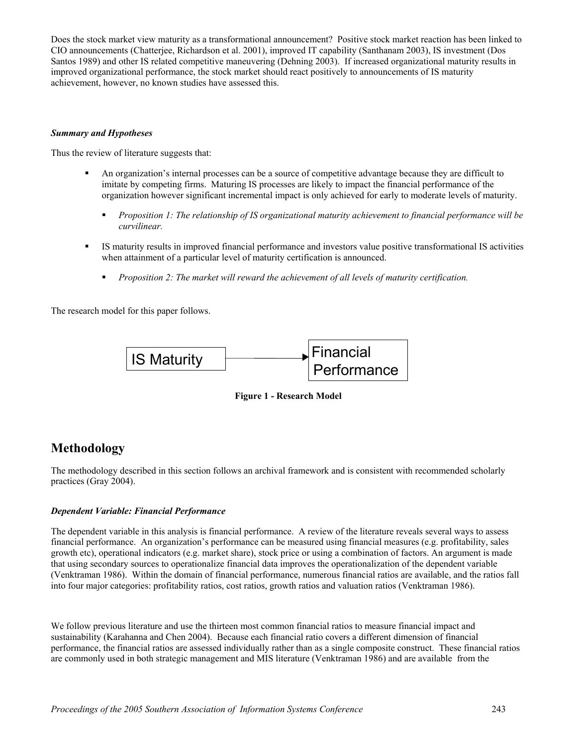Does the stock market view maturity as a transformational announcement? Positive stock market reaction has been linked to CIO announcements (Chatterjee, Richardson et al. 2001), improved IT capability (Santhanam 2003), IS investment (Dos Santos 1989) and other IS related competitive maneuvering (Dehning 2003). If increased organizational maturity results in improved organizational performance, the stock market should react positively to announcements of IS maturity achievement, however, no known studies have assessed this.

#### *Summary and Hypotheses*

Thus the review of literature suggests that:

- An organization's internal processes can be a source of competitive advantage because they are difficult to imitate by competing firms. Maturing IS processes are likely to impact the financial performance of the organization however significant incremental impact is only achieved for early to moderate levels of maturity.
	- *Proposition 1: The relationship of IS organizational maturity achievement to financial performance will be curvilinear.*
- IS maturity results in improved financial performance and investors value positive transformational IS activities when attainment of a particular level of maturity certification is announced.
	- *Proposition 2: The market will reward the achievement of all levels of maturity certification.*

The research model for this paper follows.



**Figure 1 - Research Model** 

## **Methodology**

The methodology described in this section follows an archival framework and is consistent with recommended scholarly practices (Gray 2004).

#### *Dependent Variable: Financial Performance*

The dependent variable in this analysis is financial performance. A review of the literature reveals several ways to assess financial performance. An organization's performance can be measured using financial measures (e.g. profitability, sales growth etc), operational indicators (e.g. market share), stock price or using a combination of factors. An argument is made that using secondary sources to operationalize financial data improves the operationalization of the dependent variable (Venktraman 1986). Within the domain of financial performance, numerous financial ratios are available, and the ratios fall into four major categories: profitability ratios, cost ratios, growth ratios and valuation ratios (Venktraman 1986).

We follow previous literature and use the thirteen most common financial ratios to measure financial impact and sustainability (Karahanna and Chen 2004). Because each financial ratio covers a different dimension of financial performance, the financial ratios are assessed individually rather than as a single composite construct. These financial ratios are commonly used in both strategic management and MIS literature (Venktraman 1986) and are available from the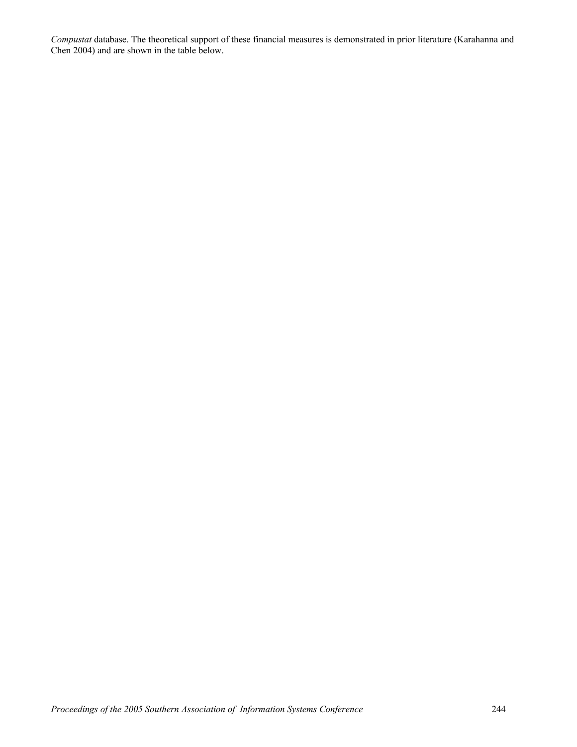*Compustat* database. The theoretical support of these financial measures is demonstrated in prior literature (Karahanna and Chen 2004) and are shown in the table below.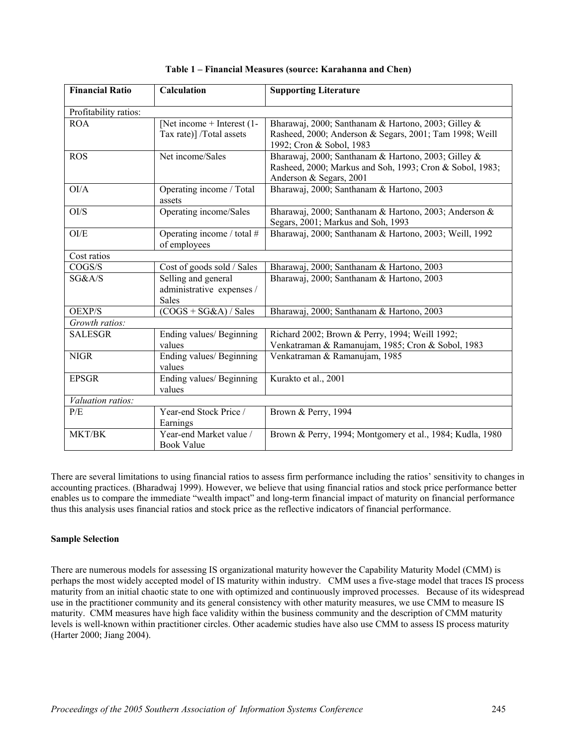| <b>Financial Ratio</b> | Calculation                        | <b>Supporting Literature</b>                              |
|------------------------|------------------------------------|-----------------------------------------------------------|
|                        |                                    |                                                           |
| Profitability ratios:  |                                    |                                                           |
| <b>ROA</b>             | [Net income $+$ Interest (1-       | Bharawaj, 2000; Santhanam & Hartono, 2003; Gilley &       |
|                        | Tax rate)] /Total assets           | Rasheed, 2000; Anderson & Segars, 2001; Tam 1998; Weill   |
|                        |                                    | 1992; Cron & Sobol, 1983                                  |
| <b>ROS</b>             | Net income/Sales                   | Bharawaj, 2000; Santhanam & Hartono, 2003; Gilley &       |
|                        |                                    | Rasheed, 2000; Markus and Soh, 1993; Cron & Sobol, 1983;  |
| OI/A                   |                                    | Anderson & Segars, 2001                                   |
|                        | Operating income / Total<br>assets | Bharawaj, 2000; Santhanam & Hartono, 2003                 |
| O I/S                  | Operating income/Sales             | Bharawaj, 2000; Santhanam & Hartono, 2003; Anderson &     |
|                        |                                    | Segars, 2001; Markus and Soh, 1993                        |
| O <sub>I/E</sub>       | Operating income / total #         | Bharawaj, 2000; Santhanam & Hartono, 2003; Weill, 1992    |
|                        | of employees                       |                                                           |
| Cost ratios            |                                    |                                                           |
| COGS/S                 | Cost of goods sold / Sales         | Bharawaj, 2000; Santhanam & Hartono, 2003                 |
| SG&A/S                 | Selling and general                | Bharawaj, 2000; Santhanam & Hartono, 2003                 |
|                        | administrative expenses /          |                                                           |
|                        | <b>Sales</b>                       |                                                           |
| OEXP/S                 | $(COGS + SG&A) / Sales$            | Bharawaj, 2000; Santhanam & Hartono, 2003                 |
| Growth ratios:         |                                    |                                                           |
| <b>SALESGR</b>         | Ending values/ Beginning           | Richard 2002; Brown & Perry, 1994; Weill 1992;            |
|                        | values                             | Venkatraman & Ramanujam, 1985; Cron & Sobol, 1983         |
| <b>NIGR</b>            | Ending values/ Beginning           | Venkatraman & Ramanujam, 1985                             |
|                        | values                             |                                                           |
| <b>EPSGR</b>           | Ending values/ Beginning           | Kurakto et al., 2001                                      |
|                        | values                             |                                                           |
| Valuation ratios:      |                                    |                                                           |
| P/E                    | Year-end Stock Price /<br>Earnings | Brown & Perry, 1994                                       |
| MKT/BK                 | Year-end Market value /            | Brown & Perry, 1994; Montgomery et al., 1984; Kudla, 1980 |
|                        | <b>Book Value</b>                  |                                                           |

**Table 1 – Financial Measures (source: Karahanna and Chen)** 

There are several limitations to using financial ratios to assess firm performance including the ratios' sensitivity to changes in accounting practices. (Bharadwaj 1999). However, we believe that using financial ratios and stock price performance better enables us to compare the immediate "wealth impact" and long-term financial impact of maturity on financial performance thus this analysis uses financial ratios and stock price as the reflective indicators of financial performance.

#### **Sample Selection**

There are numerous models for assessing IS organizational maturity however the Capability Maturity Model (CMM) is perhaps the most widely accepted model of IS maturity within industry. CMM uses a five-stage model that traces IS process maturity from an initial chaotic state to one with optimized and continuously improved processes. Because of its widespread use in the practitioner community and its general consistency with other maturity measures, we use CMM to measure IS maturity. CMM measures have high face validity within the business community and the description of CMM maturity levels is well-known within practitioner circles. Other academic studies have also use CMM to assess IS process maturity (Harter 2000; Jiang 2004).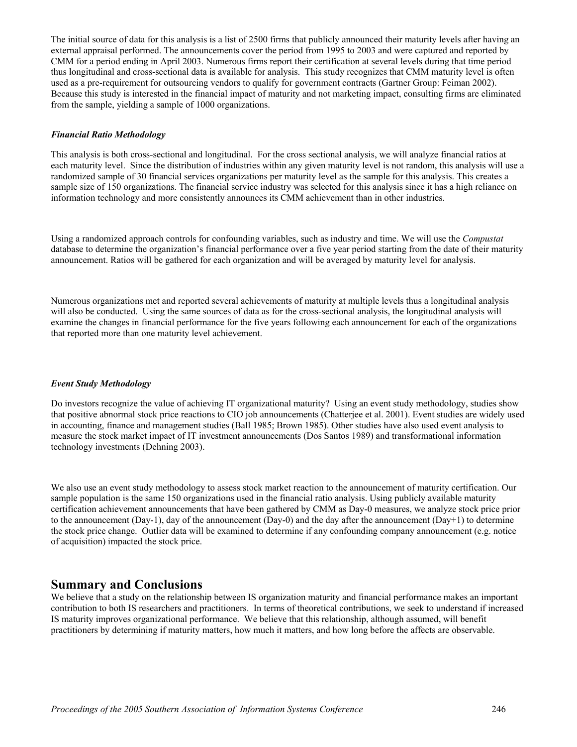The initial source of data for this analysis is a list of 2500 firms that publicly announced their maturity levels after having an external appraisal performed. The announcements cover the period from 1995 to 2003 and were captured and reported by CMM for a period ending in April 2003. Numerous firms report their certification at several levels during that time period thus longitudinal and cross-sectional data is available for analysis. This study recognizes that CMM maturity level is often used as a pre-requirement for outsourcing vendors to qualify for government contracts (Gartner Group: Feiman 2002). Because this study is interested in the financial impact of maturity and not marketing impact, consulting firms are eliminated from the sample, yielding a sample of 1000 organizations.

#### *Financial Ratio Methodology*

This analysis is both cross-sectional and longitudinal. For the cross sectional analysis, we will analyze financial ratios at each maturity level. Since the distribution of industries within any given maturity level is not random, this analysis will use a randomized sample of 30 financial services organizations per maturity level as the sample for this analysis. This creates a sample size of 150 organizations. The financial service industry was selected for this analysis since it has a high reliance on information technology and more consistently announces its CMM achievement than in other industries.

Using a randomized approach controls for confounding variables, such as industry and time. We will use the *Compustat* database to determine the organization's financial performance over a five year period starting from the date of their maturity announcement. Ratios will be gathered for each organization and will be averaged by maturity level for analysis.

Numerous organizations met and reported several achievements of maturity at multiple levels thus a longitudinal analysis will also be conducted. Using the same sources of data as for the cross-sectional analysis, the longitudinal analysis will examine the changes in financial performance for the five years following each announcement for each of the organizations that reported more than one maturity level achievement.

#### *Event Study Methodology*

Do investors recognize the value of achieving IT organizational maturity? Using an event study methodology, studies show that positive abnormal stock price reactions to CIO job announcements (Chatterjee et al. 2001). Event studies are widely used in accounting, finance and management studies (Ball 1985; Brown 1985). Other studies have also used event analysis to measure the stock market impact of IT investment announcements (Dos Santos 1989) and transformational information technology investments (Dehning 2003).

We also use an event study methodology to assess stock market reaction to the announcement of maturity certification. Our sample population is the same 150 organizations used in the financial ratio analysis. Using publicly available maturity certification achievement announcements that have been gathered by CMM as Day-0 measures, we analyze stock price prior to the announcement (Day-1), day of the announcement (Day-0) and the day after the announcement (Day+1) to determine the stock price change. Outlier data will be examined to determine if any confounding company announcement (e.g. notice of acquisition) impacted the stock price.

#### **Summary and Conclusions**

We believe that a study on the relationship between IS organization maturity and financial performance makes an important contribution to both IS researchers and practitioners. In terms of theoretical contributions, we seek to understand if increased IS maturity improves organizational performance. We believe that this relationship, although assumed, will benefit practitioners by determining if maturity matters, how much it matters, and how long before the affects are observable.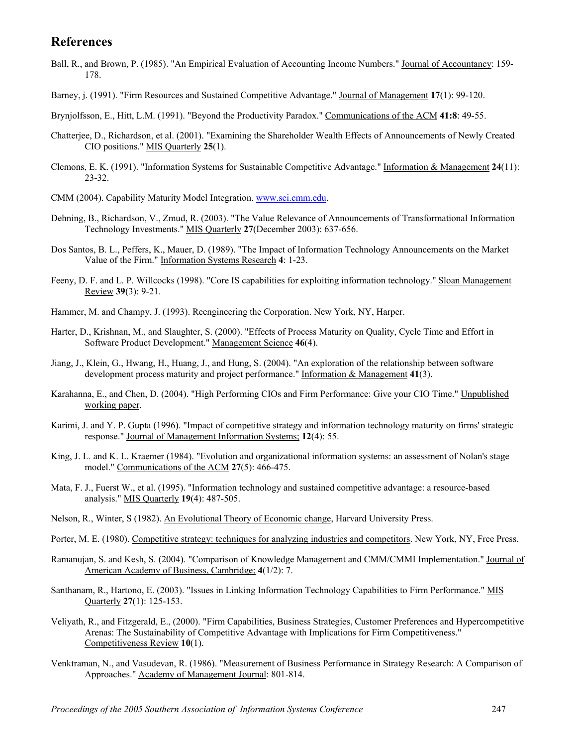## **References**

- Ball, R., and Brown, P. (1985). "An Empirical Evaluation of Accounting Income Numbers." Journal of Accountancy: 159- 178.
- Barney, j. (1991). "Firm Resources and Sustained Competitive Advantage." Journal of Management **17**(1): 99-120.
- Brynjolfsson, E., Hitt, L.M. (1991). "Beyond the Productivity Paradox." Communications of the ACM **41:8**: 49-55.
- Chatterjee, D., Richardson, et al. (2001). "Examining the Shareholder Wealth Effects of Announcements of Newly Created CIO positions." MIS Quarterly **25**(1).
- Clemons, E. K. (1991). "Information Systems for Sustainable Competitive Advantage." Information & Management **24**(11): 23-32.
- CMM (2004). Capability Maturity Model Integration. [www.sei.cmm.edu](http://www.sei.cmm.edu/).
- Dehning, B., Richardson, V., Zmud, R. (2003). "The Value Relevance of Announcements of Transformational Information Technology Investments." MIS Quarterly **27**(December 2003): 637-656.
- Dos Santos, B. L., Peffers, K., Mauer, D. (1989). "The Impact of Information Technology Announcements on the Market Value of the Firm." Information Systems Research **4**: 1-23.
- Feeny, D. F. and L. P. Willcocks (1998). "Core IS capabilities for exploiting information technology." Sloan Management Review **39**(3): 9-21.
- Hammer, M. and Champy, J. (1993). Reengineering the Corporation. New York, NY, Harper.
- Harter, D., Krishnan, M., and Slaughter, S. (2000). "Effects of Process Maturity on Quality, Cycle Time and Effort in Software Product Development." Management Science **46**(4).
- Jiang, J., Klein, G., Hwang, H., Huang, J., and Hung, S. (2004). "An exploration of the relationship between software development process maturity and project performance." Information & Management **41**(3).
- Karahanna, E., and Chen, D. (2004). "High Performing CIOs and Firm Performance: Give your CIO Time." Unpublished working paper.
- Karimi, J. and Y. P. Gupta (1996). "Impact of competitive strategy and information technology maturity on firms' strategic response." Journal of Management Information Systems; **12**(4): 55.
- King, J. L. and K. L. Kraemer (1984). "Evolution and organizational information systems: an assessment of Nolan's stage model." Communications of the ACM **27**(5): 466-475.
- Mata, F. J., Fuerst W., et al. (1995). "Information technology and sustained competitive advantage: a resource-based analysis." MIS Quarterly **19**(4): 487-505.
- Nelson, R., Winter, S (1982). An Evolutional Theory of Economic change, Harvard University Press.
- Porter, M. E. (1980). Competitive strategy: techniques for analyzing industries and competitors. New York, NY, Free Press.
- Ramanujan, S. and Kesh, S. (2004). "Comparison of Knowledge Management and CMM/CMMI Implementation." Journal of American Academy of Business, Cambridge; **4**(1/2): 7.
- Santhanam, R., Hartono, E. (2003). "Issues in Linking Information Technology Capabilities to Firm Performance." MIS Quarterly **27**(1): 125-153.
- Veliyath, R., and Fitzgerald, E., (2000). "Firm Capabilities, Business Strategies, Customer Preferences and Hypercompetitive Arenas: The Sustainability of Competitive Advantage with Implications for Firm Competitiveness." Competitiveness Review **10**(1).
- Venktraman, N., and Vasudevan, R. (1986). "Measurement of Business Performance in Strategy Research: A Comparison of Approaches." Academy of Management Journal: 801-814.